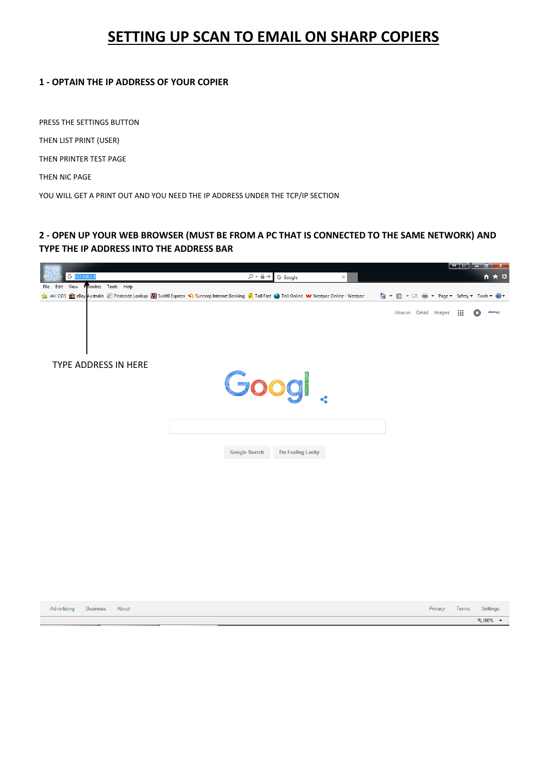# **SETTING UP SCAN TO EMAIL ON SHARP COPIERS**

#### **1 - OPTAIN THE IP ADDRESS OF YOUR COPIER**

PRESS THE SETTINGS BUTTON

THEN LIST PRINT (USER)

THEN PRINTER TEST PAGE

THEN NIC PAGE

YOU WILL GET A PRINT OUT AND YOU NEED THE IP ADDRESS UNDER THE TCP/IP SECTION

# **2 - OPEN UP YOUR WEB BROWSER (MUST BE FROM A PC THAT IS CONNECTED TO THE SAME NETWORK) AND TYPE THE IP ADDRESS INTO THE ADDRESS BAR**



| Advertising Business About |  | Privacy | Terms | Settin |
|----------------------------|--|---------|-------|--------|
|                            |  |         |       | 电 100% |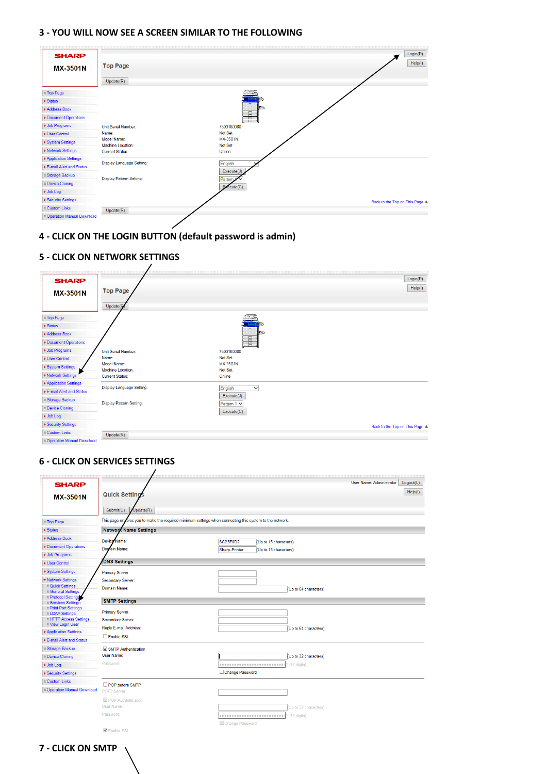#### **3 - YOU WILL NOW SEE A SCREEN SIMILAR TO THE FOLLOWING**

| <b>SHARP</b><br><b>MX-3501N</b>                                                                                                                                                      | <b>Top Page</b><br>Update(R)                                                               | Login(P)<br>Help(I)                                                               |
|--------------------------------------------------------------------------------------------------------------------------------------------------------------------------------------|--------------------------------------------------------------------------------------------|-----------------------------------------------------------------------------------|
| <b>Top Page</b><br>$\triangleright$ Status<br>Address Book<br>Document Operations<br>▶ Job Programs<br>▶ User Control<br>▶ System Settings<br>▶ Network Settings                     | Unit Serial Number:<br>Name:<br>Model Name:<br>Machine Location:<br><b>Current Status:</b> | Ē<br>7503180000<br>Not Set<br>MX-3501N<br>Not Set<br>Online                       |
| Application Settings<br>E-mail Alert and Status<br>■ Storage Backup<br><b>Device Cloning</b><br>▶ Job Log<br>▶ Security Settings<br><b>Custom Links</b><br>Operation Manual Download | Display Language Setting:<br><b>Display Pattern Setting:</b><br>Update(R)                  | English<br>Execute(J)<br>Pattern,<br>Execute(C)<br>Back to the Top on This Page A |

## **4 - CLICK ON THE LOGIN BUTTON (default password is admin)**

#### $Login(P)$ **SHARP**  $Heip(l)$ **Top Page** MX-3501N Update **Top Page**  $\blacktriangleright$  Status Address Book Document Operations  $\blacktriangleright$  Job Programs Unit Serial Number: 7503180000 Not Set<br>MX-3501N<br>Not Set ▶ User Control Name:<br>Mame:<br>Model Name: ▶ System Settings<br>▶ Network Settings Machine Location: Current Status: Online  $\blacktriangleright$  Application Settings Display Language Setting: English  $\overline{\mathbf{v}}$ E-mail Alert and Status  $Execute(J)$ □ Storage Backup Display Pattern Setting: Pattern 1  $\vee$ Device Cloning  $Execute(C)$  $\blacktriangleright$  Job Log ▶ Security Settings Back to the Top on This Page  $\hat{\Delta}$  $\Box$  Custom Links  $Update(R)$ Operation Manual Download

## **6 - CLICK ON SERVICES SETTINGS**

**5 - CLICK ON NETWORK SETTINGS**

| <b>SHARP</b>                                        |                                                                                                         |                                                                                    | User Name: Administrator | Logout(L) |
|-----------------------------------------------------|---------------------------------------------------------------------------------------------------------|------------------------------------------------------------------------------------|--------------------------|-----------|
| <b>MX-3501N</b>                                     | <b>Quick Settings</b>                                                                                   |                                                                                    |                          | Help(1)   |
|                                                     |                                                                                                         |                                                                                    |                          |           |
|                                                     | Submit(U)<br>Update(R)                                                                                  |                                                                                    |                          |           |
| <b>Top Page</b>                                     | This page enables you to make the required minimum settings when connecting this system to the network. |                                                                                    |                          |           |
| $\triangleright$ Status                             | <b>Network Name Settings</b>                                                                            |                                                                                    |                          |           |
| Address Book                                        | Device Name:                                                                                            |                                                                                    |                          |           |
| Document Operations                                 | Domain Name:                                                                                            | <b>SC23F8D2</b><br>(Up to 15 characters)<br>Sharp-Printer<br>(Up to 15 characters) |                          |           |
| ▶ Job Programs                                      |                                                                                                         |                                                                                    |                          |           |
| <b>I</b> User Control                               | <b>DNS Settings</b>                                                                                     |                                                                                    |                          |           |
| ▶ System Settings                                   | Primary Server:                                                                                         |                                                                                    |                          |           |
| ▼ Network Settings                                  | Secondary Server:                                                                                       |                                                                                    |                          |           |
| Ouick Settings                                      | Domain Name:                                                                                            | (Up to 64 characters)                                                              |                          |           |
| <b>General Settings</b><br><b>Protocol Settings</b> |                                                                                                         |                                                                                    |                          |           |
| <b>B</b> Services Settings                          | <b>SMTP Settings</b>                                                                                    |                                                                                    |                          |           |
| <b>Print Port Settings</b><br><b>ELDAP Settings</b> | Primary Server:                                                                                         |                                                                                    |                          |           |
| <b>In HTTP Access Settings</b>                      | Secondary Server:                                                                                       |                                                                                    |                          |           |
| <b>New Login User</b>                               | Reply E-mail Address:                                                                                   | (Up to 64 characters)                                                              |                          |           |
| Application Settings                                | Enable SSL                                                                                              |                                                                                    |                          |           |
| E-mail Alert and Status                             |                                                                                                         |                                                                                    |                          |           |
| <sup>®</sup> Storage Backup                         | SMTP Authentication                                                                                     |                                                                                    |                          |           |
| <b>Device Cloning</b>                               | <b>User Name:</b>                                                                                       | (Up to 32 characters)                                                              |                          |           |
| ▶ Job Log                                           | Password:                                                                                               |                                                                                    |                          |           |
| ▶ Security Settings                                 |                                                                                                         | Change Password                                                                    |                          |           |
| <b>n</b> Custom Links                               | POP before SMTP                                                                                         |                                                                                    |                          |           |
| <sup>1</sup> Operation Manual Download              | POP3 Server:                                                                                            |                                                                                    |                          |           |
|                                                     | POP Authentication                                                                                      |                                                                                    |                          |           |
|                                                     | User Name                                                                                               | (Up to 32 characters)                                                              |                          |           |
|                                                     | Password:                                                                                               |                                                                                    |                          |           |
|                                                     |                                                                                                         | Change Password                                                                    |                          |           |
|                                                     | <b>√</b> Enable SSL                                                                                     |                                                                                    |                          |           |

## **7 - CLICK ON SMTP**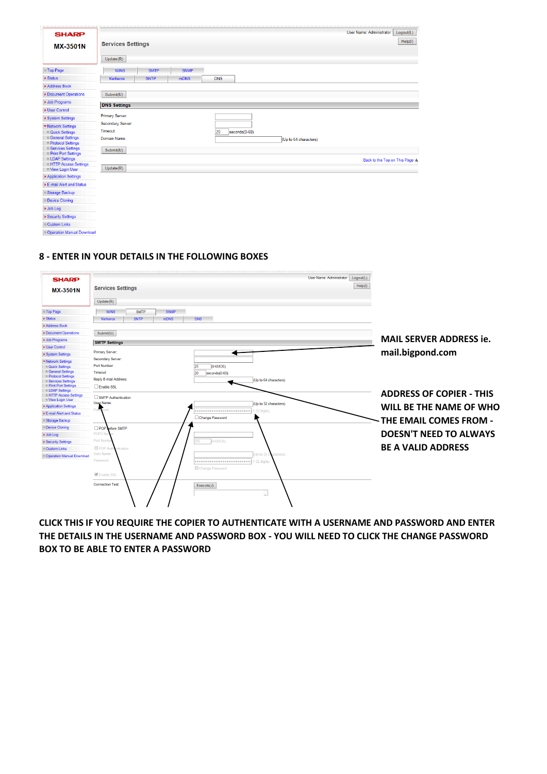| <b>SHARP</b>                                                                                                          | <b>Services Settings</b>                         |             |             |            |               |                       | User Name: Administrator       | Logout(L)<br>Help(I) |
|-----------------------------------------------------------------------------------------------------------------------|--------------------------------------------------|-------------|-------------|------------|---------------|-----------------------|--------------------------------|----------------------|
| <b>MX-3501N</b>                                                                                                       | Update(R)                                        |             |             |            |               |                       |                                |                      |
| Top Page                                                                                                              | <b>WINS</b>                                      | <b>SMTP</b> | <b>SNMP</b> |            |               |                       |                                |                      |
| $\triangleright$ Status<br>Address Book                                                                               | <b>Kerberos</b>                                  | <b>SNTP</b> | mDNS        | <b>DNS</b> |               |                       |                                |                      |
| Document Operations                                                                                                   | Submit(U)                                        |             |             |            |               |                       |                                |                      |
| <b>D</b> Job Programs                                                                                                 |                                                  |             |             |            |               |                       |                                |                      |
| <b>I</b> User Control                                                                                                 | <b>DNS Settings</b>                              |             |             |            |               |                       |                                |                      |
| ▶ System Settings<br>▼ Network Settings                                                                               | Primary Server:<br>Secondary Server:<br>Timeout: |             |             |            |               |                       |                                |                      |
| <sup>1</sup> Quick Settings<br><b>General Settings</b><br><b>D</b> Protocol Settings                                  | Domain Name:                                     |             |             | 20         | seconds(0-60) | (Up to 64 characters) |                                |                      |
| <b>B</b> Services Settings<br><b>D</b> Print Port Settings<br><b>ELDAP Settings</b><br><b>In HTTP Access Settings</b> | Submit(U)                                        |             |             |            |               |                       | Back to the Top on This Page A |                      |
| <b>UView Login User</b>                                                                                               | Update(R)                                        |             |             |            |               |                       |                                |                      |
| Application Settings                                                                                                  |                                                  |             |             |            |               |                       |                                |                      |
| E-mail Alert and Status                                                                                               |                                                  |             |             |            |               |                       |                                |                      |
| Storage Backup                                                                                                        |                                                  |             |             |            |               |                       |                                |                      |
| <b>Device Cloning</b>                                                                                                 |                                                  |             |             |            |               |                       |                                |                      |
| I Job Log                                                                                                             |                                                  |             |             |            |               |                       |                                |                      |
| ▶ Security Settings                                                                                                   |                                                  |             |             |            |               |                       |                                |                      |
| Custom Links                                                                                                          |                                                  |             |             |            |               |                       |                                |                      |
| Coeration Manual Download                                                                                             |                                                  |             |             |            |               |                       |                                |                      |

#### **8 - ENTER IN YOUR DETAILS IN THE FOLLOWING BOXES**

| <b>SHARP</b><br><b>MX-3501N</b>                                                                                       | <b>Services Settings</b><br>Update(R)                                                    |                                                                    | User Name: Administrator<br>Logout(L)<br>Help(1) |                                                     |
|-----------------------------------------------------------------------------------------------------------------------|------------------------------------------------------------------------------------------|--------------------------------------------------------------------|--------------------------------------------------|-----------------------------------------------------|
| <b>Top Page</b>                                                                                                       | <b>WINS</b><br><b>SMTP</b><br><b>SNMP</b>                                                |                                                                    |                                                  |                                                     |
| ▶ Status                                                                                                              | <b>SNTP</b><br><b>mDNS</b><br><b>Kerberos</b>                                            | <b>DNS</b>                                                         |                                                  |                                                     |
| Address Book                                                                                                          |                                                                                          |                                                                    |                                                  |                                                     |
| Document Operations                                                                                                   | Submit(U)                                                                                |                                                                    |                                                  |                                                     |
| <b>Job Programs</b>                                                                                                   | <b>SMTP Settings</b>                                                                     |                                                                    |                                                  | <b>MAIL SERVER ADDRESS ie.</b>                      |
| <b>V</b> User Control                                                                                                 |                                                                                          |                                                                    |                                                  |                                                     |
| ▶ System Settings                                                                                                     | Primary Server:                                                                          |                                                                    |                                                  | mail.bigpond.com                                    |
| ▼ Network Settings<br><b>Quick Settings</b><br><b>General Settings</b><br><b>Protocol Settings</b>                    | Secondary Server:<br>Port Number:<br><b>Timeout:</b>                                     | 25<br>$(0 - 65535)$<br>20<br>seconds(0-60)                         |                                                  |                                                     |
| <b>B</b> Services Settings<br><b>D</b> Print Port Settings<br><b>ELDAP Settings</b>                                   | Reply E-mail Address<br>Enable SSL                                                       | (Up to 64 characters)                                              |                                                  | <b>ADDRESS OF COPIER - THIS</b>                     |
| <b>EHTTP Access Settings</b><br>New Login User<br>Application Settings<br>E-mail Alert and Status<br>■ Storage Backup | SMTP Authentication<br>User Name:                                                        | (Up to 32 characters)<br>1-32 digits)<br>Change Password           |                                                  | WILL BE THE NAME OF WHO<br>- THE EMAIL COMES FROM - |
| Device Cloning<br>De Job Log<br>▶ Security Settings                                                                   | POP hefore SMTP<br>POP3 Se<br>Port Numl                                                  | $(0 - 65535)$<br>95                                                |                                                  | <b>DOESN'T NEED TO ALWAYS</b>                       |
| <b>D</b> Custom Links<br>Operation Manual Download                                                                    | POP Auth<br>ntication<br>User Name<br>Password:<br>Enable SSL<br><b>Connection Test:</b> | (Up to 32 characters)<br>Change Password<br>Execute(J)<br>$\wedge$ |                                                  | <b>BE A VALID ADDRESS</b>                           |

**CLICK THIS IF YOU REQUIRE THE COPIER TO AUTHENTICATE WITH A USERNAME AND PASSWORD AND ENTER THE DETAILS IN THE USERNAME AND PASSWORD BOX - YOU WILL NEED TO CLICK THE CHANGE PASSWORD BOX TO BE ABLE TO ENTER A PASSWORD**